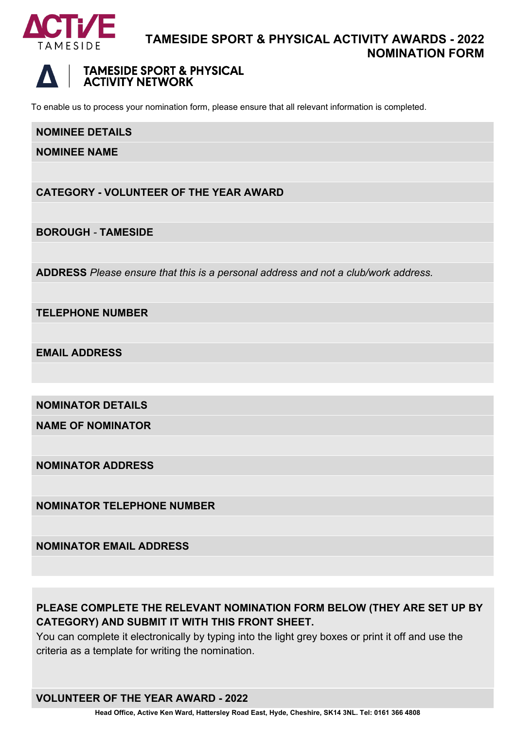

# **TAMESIDE SPORT & PHYSICAL ACTIVITY AWARDS - 2022 NOMINATION FORM**



# **TAMESIDE SPORT & PHYSICAL ACTIVITY NETWORK**

To enable us to process your nomination form, please ensure that all relevant information is completed.

#### **NOMINEE DETAILS**

**NOMINEE NAME**

**CATEGORY - VOLUNTEER OF THE YEAR AWARD**

**BOROUGH** *-* **TAMESIDE**

**ADDRESS** *Please ensure that this is a personal address and not a club/work address.*

**TELEPHONE NUMBER**

**EMAIL ADDRESS**

**NOMINATOR DETAILS**

**NAME OF NOMINATOR**

**NOMINATOR ADDRESS**

**NOMINATOR TELEPHONE NUMBER**

**NOMINATOR EMAIL ADDRESS**

# **PLEASE COMPLETE THE RELEVANT NOMINATION FORM BELOW (THEY ARE SET UP BY CATEGORY) AND SUBMIT IT WITH THIS FRONT SHEET.**

You can complete it electronically by typing into the light grey boxes or print it off and use the criteria as a template for writing the nomination.

### **VOLUNTEER OF THE YEAR AWARD - 2022**